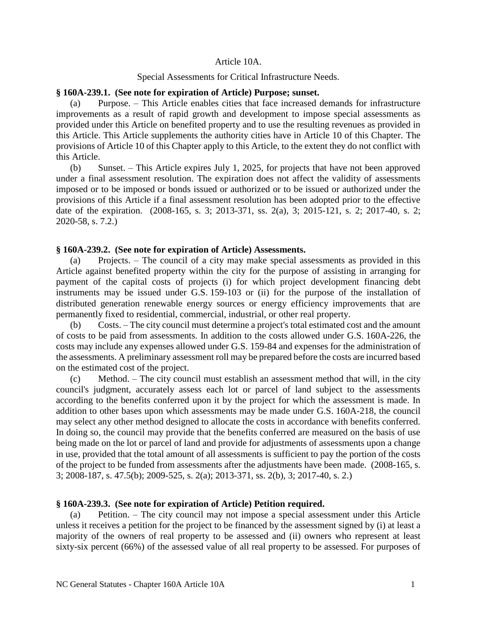#### Article 10A.

### Special Assessments for Critical Infrastructure Needs.

#### **§ 160A-239.1. (See note for expiration of Article) Purpose; sunset.**

(a) Purpose. – This Article enables cities that face increased demands for infrastructure improvements as a result of rapid growth and development to impose special assessments as provided under this Article on benefited property and to use the resulting revenues as provided in this Article. This Article supplements the authority cities have in Article 10 of this Chapter. The provisions of Article 10 of this Chapter apply to this Article, to the extent they do not conflict with this Article.

(b) Sunset. – This Article expires July 1, 2025, for projects that have not been approved under a final assessment resolution. The expiration does not affect the validity of assessments imposed or to be imposed or bonds issued or authorized or to be issued or authorized under the provisions of this Article if a final assessment resolution has been adopted prior to the effective date of the expiration. (2008-165, s. 3; 2013-371, ss. 2(a), 3; 2015-121, s. 2; 2017-40, s. 2; 2020-58, s. 7.2.)

# **§ 160A-239.2. (See note for expiration of Article) Assessments.**

(a) Projects. – The council of a city may make special assessments as provided in this Article against benefited property within the city for the purpose of assisting in arranging for payment of the capital costs of projects (i) for which project development financing debt instruments may be issued under G.S. 159-103 or (ii) for the purpose of the installation of distributed generation renewable energy sources or energy efficiency improvements that are permanently fixed to residential, commercial, industrial, or other real property.

(b) Costs. – The city council must determine a project's total estimated cost and the amount of costs to be paid from assessments. In addition to the costs allowed under G.S. 160A-226, the costs may include any expenses allowed under G.S. 159-84 and expenses for the administration of the assessments. A preliminary assessment roll may be prepared before the costs are incurred based on the estimated cost of the project.

(c) Method. – The city council must establish an assessment method that will, in the city council's judgment, accurately assess each lot or parcel of land subject to the assessments according to the benefits conferred upon it by the project for which the assessment is made. In addition to other bases upon which assessments may be made under G.S. 160A-218, the council may select any other method designed to allocate the costs in accordance with benefits conferred. In doing so, the council may provide that the benefits conferred are measured on the basis of use being made on the lot or parcel of land and provide for adjustments of assessments upon a change in use, provided that the total amount of all assessments is sufficient to pay the portion of the costs of the project to be funded from assessments after the adjustments have been made. (2008-165, s. 3; 2008-187, s. 47.5(b); 2009-525, s. 2(a); 2013-371, ss. 2(b), 3; 2017-40, s. 2.)

# **§ 160A-239.3. (See note for expiration of Article) Petition required.**

(a) Petition. – The city council may not impose a special assessment under this Article unless it receives a petition for the project to be financed by the assessment signed by (i) at least a majority of the owners of real property to be assessed and (ii) owners who represent at least sixty-six percent (66%) of the assessed value of all real property to be assessed. For purposes of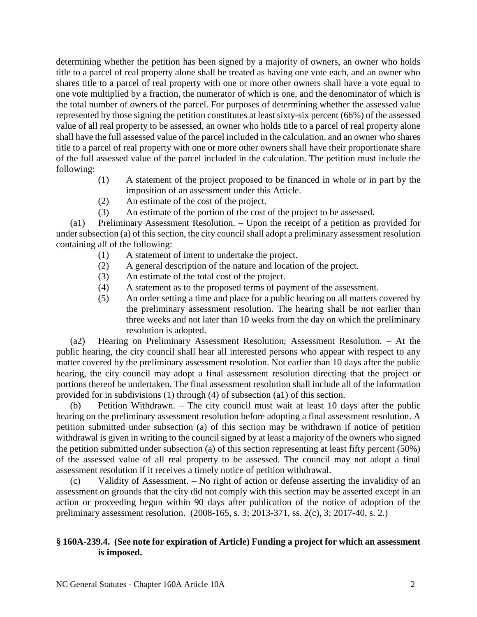determining whether the petition has been signed by a majority of owners, an owner who holds title to a parcel of real property alone shall be treated as having one vote each, and an owner who shares title to a parcel of real property with one or more other owners shall have a vote equal to one vote multiplied by a fraction, the numerator of which is one, and the denominator of which is the total number of owners of the parcel. For purposes of determining whether the assessed value represented by those signing the petition constitutes at least sixty-six percent (66%) of the assessed value of all real property to be assessed, an owner who holds title to a parcel of real property alone shall have the full assessed value of the parcel included in the calculation, and an owner who shares title to a parcel of real property with one or more other owners shall have their proportionate share of the full assessed value of the parcel included in the calculation. The petition must include the following:

- (1) A statement of the project proposed to be financed in whole or in part by the imposition of an assessment under this Article.
- (2) An estimate of the cost of the project.
- (3) An estimate of the portion of the cost of the project to be assessed.

(a1) Preliminary Assessment Resolution. – Upon the receipt of a petition as provided for under subsection (a) of this section, the city council shall adopt a preliminary assessment resolution containing all of the following:

- (1) A statement of intent to undertake the project.
- (2) A general description of the nature and location of the project.
- (3) An estimate of the total cost of the project.
- (4) A statement as to the proposed terms of payment of the assessment.
- (5) An order setting a time and place for a public hearing on all matters covered by the preliminary assessment resolution. The hearing shall be not earlier than three weeks and not later than 10 weeks from the day on which the preliminary resolution is adopted.

(a2) Hearing on Preliminary Assessment Resolution; Assessment Resolution. – At the public hearing, the city council shall hear all interested persons who appear with respect to any matter covered by the preliminary assessment resolution. Not earlier than 10 days after the public hearing, the city council may adopt a final assessment resolution directing that the project or portions thereof be undertaken. The final assessment resolution shall include all of the information provided for in subdivisions (1) through (4) of subsection (a1) of this section.

(b) Petition Withdrawn. – The city council must wait at least 10 days after the public hearing on the preliminary assessment resolution before adopting a final assessment resolution. A petition submitted under subsection (a) of this section may be withdrawn if notice of petition withdrawal is given in writing to the council signed by at least a majority of the owners who signed the petition submitted under subsection (a) of this section representing at least fifty percent (50%) of the assessed value of all real property to be assessed. The council may not adopt a final assessment resolution if it receives a timely notice of petition withdrawal.

(c) Validity of Assessment. – No right of action or defense asserting the invalidity of an assessment on grounds that the city did not comply with this section may be asserted except in an action or proceeding begun within 90 days after publication of the notice of adoption of the preliminary assessment resolution. (2008-165, s. 3; 2013-371, ss. 2(c), 3; 2017-40, s. 2.)

# **§ 160A-239.4. (See note for expiration of Article) Funding a project for which an assessment is imposed.**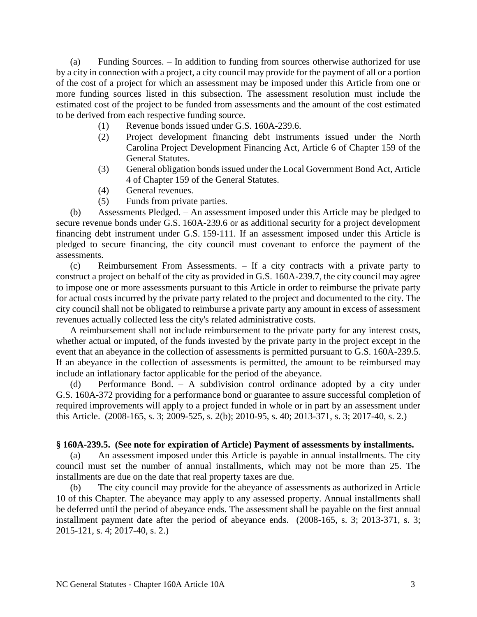(a) Funding Sources. – In addition to funding from sources otherwise authorized for use by a city in connection with a project, a city council may provide for the payment of all or a portion of the cost of a project for which an assessment may be imposed under this Article from one or more funding sources listed in this subsection. The assessment resolution must include the estimated cost of the project to be funded from assessments and the amount of the cost estimated to be derived from each respective funding source.

- (1) Revenue bonds issued under G.S. 160A-239.6.
- (2) Project development financing debt instruments issued under the North Carolina Project Development Financing Act, Article 6 of Chapter 159 of the General Statutes.
- (3) General obligation bonds issued under the Local Government Bond Act, Article 4 of Chapter 159 of the General Statutes.
- (4) General revenues.
- (5) Funds from private parties.

(b) Assessments Pledged. – An assessment imposed under this Article may be pledged to secure revenue bonds under G.S. 160A-239.6 or as additional security for a project development financing debt instrument under G.S. 159-111. If an assessment imposed under this Article is pledged to secure financing, the city council must covenant to enforce the payment of the assessments.

(c) Reimbursement From Assessments. – If a city contracts with a private party to construct a project on behalf of the city as provided in G.S. 160A-239.7, the city council may agree to impose one or more assessments pursuant to this Article in order to reimburse the private party for actual costs incurred by the private party related to the project and documented to the city. The city council shall not be obligated to reimburse a private party any amount in excess of assessment revenues actually collected less the city's related administrative costs.

A reimbursement shall not include reimbursement to the private party for any interest costs, whether actual or imputed, of the funds invested by the private party in the project except in the event that an abeyance in the collection of assessments is permitted pursuant to G.S. 160A-239.5. If an abeyance in the collection of assessments is permitted, the amount to be reimbursed may include an inflationary factor applicable for the period of the abeyance.

(d) Performance Bond. – A subdivision control ordinance adopted by a city under G.S. 160A-372 providing for a performance bond or guarantee to assure successful completion of required improvements will apply to a project funded in whole or in part by an assessment under this Article. (2008-165, s. 3; 2009-525, s. 2(b); 2010-95, s. 40; 2013-371, s. 3; 2017-40, s. 2.)

# **§ 160A-239.5. (See note for expiration of Article) Payment of assessments by installments.**

(a) An assessment imposed under this Article is payable in annual installments. The city council must set the number of annual installments, which may not be more than 25. The installments are due on the date that real property taxes are due.

(b) The city council may provide for the abeyance of assessments as authorized in Article 10 of this Chapter. The abeyance may apply to any assessed property. Annual installments shall be deferred until the period of abeyance ends. The assessment shall be payable on the first annual installment payment date after the period of abeyance ends. (2008-165, s. 3; 2013-371, s. 3; 2015-121, s. 4; 2017-40, s. 2.)